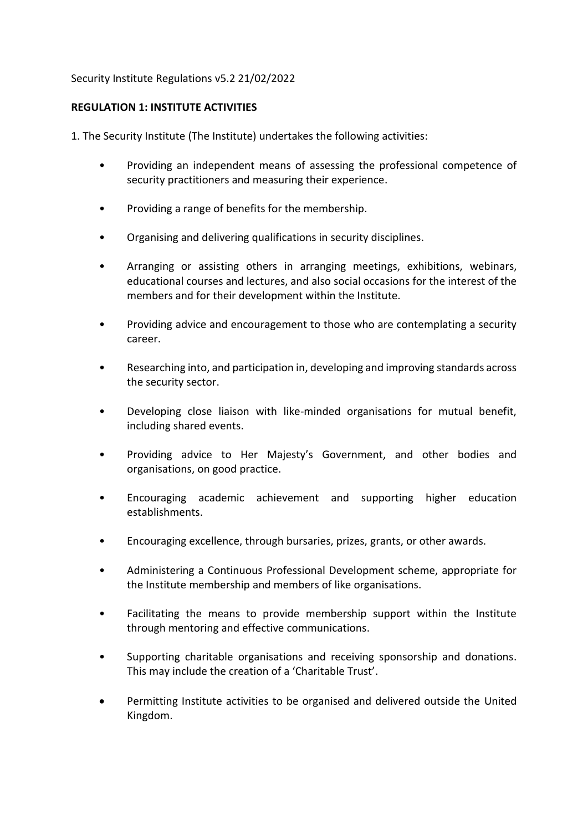#### Security Institute Regulations v5.2 21/02/2022

### **REGULATION 1: INSTITUTE ACTIVITIES**

1. The Security Institute (The Institute) undertakes the following activities:

- Providing an independent means of assessing the professional competence of security practitioners and measuring their experience.
- Providing a range of benefits for the membership.
- Organising and delivering qualifications in security disciplines.
- Arranging or assisting others in arranging meetings, exhibitions, webinars, educational courses and lectures, and also social occasions for the interest of the members and for their development within the Institute.
- Providing advice and encouragement to those who are contemplating a security career.
- Researching into, and participation in, developing and improving standards across the security sector.
- Developing close liaison with like-minded organisations for mutual benefit, including shared events.
- Providing advice to Her Majesty's Government, and other bodies and organisations, on good practice.
- Encouraging academic achievement and supporting higher education establishments.
- Encouraging excellence, through bursaries, prizes, grants, or other awards.
- Administering a Continuous Professional Development scheme, appropriate for the Institute membership and members of like organisations.
- Facilitating the means to provide membership support within the Institute through mentoring and effective communications.
- Supporting charitable organisations and receiving sponsorship and donations. This may include the creation of a 'Charitable Trust'.
- Permitting Institute activities to be organised and delivered outside the United Kingdom.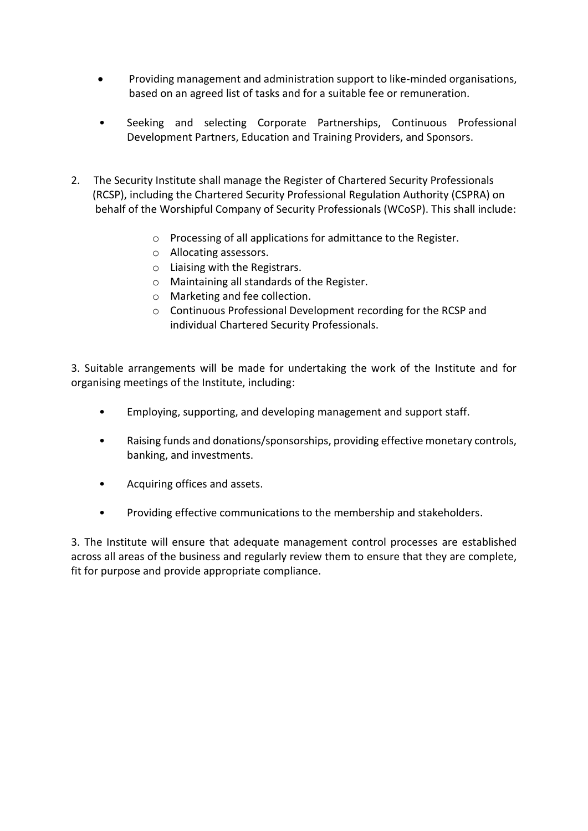- Providing management and administration support to like-minded organisations, based on an agreed list of tasks and for a suitable fee or remuneration.
- Seeking and selecting Corporate Partnerships, Continuous Professional Development Partners, Education and Training Providers, and Sponsors.
- 2. The Security Institute shall manage the Register of Chartered Security Professionals (RCSP), including the Chartered Security Professional Regulation Authority (CSPRA) on behalf of the Worshipful Company of Security Professionals (WCoSP). This shall include:
	- o Processing of all applications for admittance to the Register.
	- o Allocating assessors.
	- o Liaising with the Registrars.
	- o Maintaining all standards of the Register.
	- o Marketing and fee collection.
	- o Continuous Professional Development recording for the RCSP and individual Chartered Security Professionals.

3. Suitable arrangements will be made for undertaking the work of the Institute and for organising meetings of the Institute, including:

- Employing, supporting, and developing management and support staff.
- Raising funds and donations/sponsorships, providing effective monetary controls, banking, and investments.
- Acquiring offices and assets.
- Providing effective communications to the membership and stakeholders.

3. The Institute will ensure that adequate management control processes are established across all areas of the business and regularly review them to ensure that they are complete, fit for purpose and provide appropriate compliance.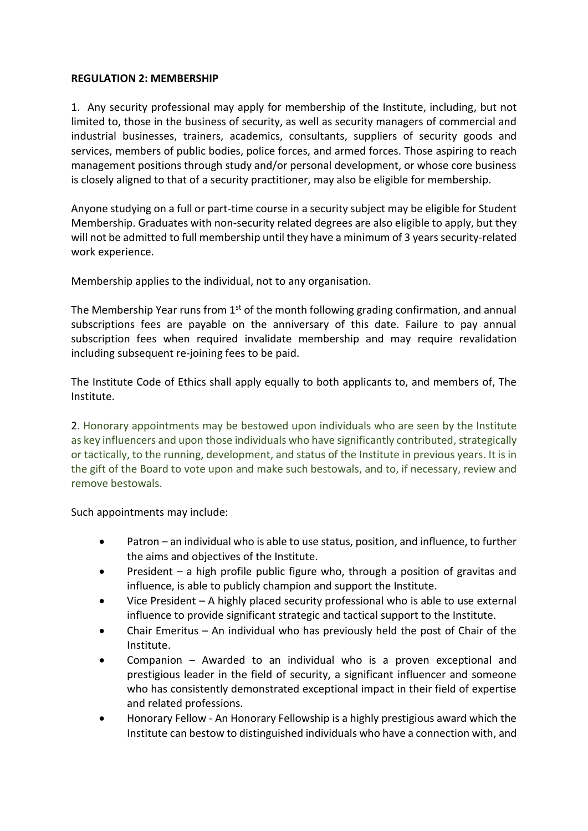#### **REGULATION 2: MEMBERSHIP**

1. Any security professional may apply for membership of the Institute, including, but not limited to, those in the business of security, as well as security managers of commercial and industrial businesses, trainers, academics, consultants, suppliers of security goods and services, members of public bodies, police forces, and armed forces. Those aspiring to reach management positions through study and/or personal development, or whose core business is closely aligned to that of a security practitioner, may also be eligible for membership.

Anyone studying on a full or part-time course in a security subject may be eligible for Student Membership. Graduates with non-security related degrees are also eligible to apply, but they will not be admitted to full membership until they have a minimum of 3 years security-related work experience.

Membership applies to the individual, not to any organisation.

The Membership Year runs from  $1<sup>st</sup>$  of the month following grading confirmation, and annual subscriptions fees are payable on the anniversary of this date. Failure to pay annual subscription fees when required invalidate membership and may require revalidation including subsequent re-joining fees to be paid.

The Institute Code of Ethics shall apply equally to both applicants to, and members of, The Institute.

2. Honorary appointments may be bestowed upon individuals who are seen by the Institute as key influencers and upon those individuals who have significantly contributed, strategically or tactically, to the running, development, and status of the Institute in previous years. It is in the gift of the Board to vote upon and make such bestowals, and to, if necessary, review and remove bestowals.

Such appointments may include:

- Patron an individual who is able to use status, position, and influence, to further the aims and objectives of the Institute.
- President  $-$  a high profile public figure who, through a position of gravitas and influence, is able to publicly champion and support the Institute.
- Vice President A highly placed security professional who is able to use external influence to provide significant strategic and tactical support to the Institute.
- Chair Emeritus An individual who has previously held the post of Chair of the Institute.
- Companion  $-$  Awarded to an individual who is a proven exceptional and prestigious leader in the field of security, a significant influencer and someone who has consistently demonstrated exceptional impact in their field of expertise and related professions.
- Honorary Fellow An Honorary Fellowship is a highly prestigious award which the Institute can bestow to distinguished individuals who have a connection with, and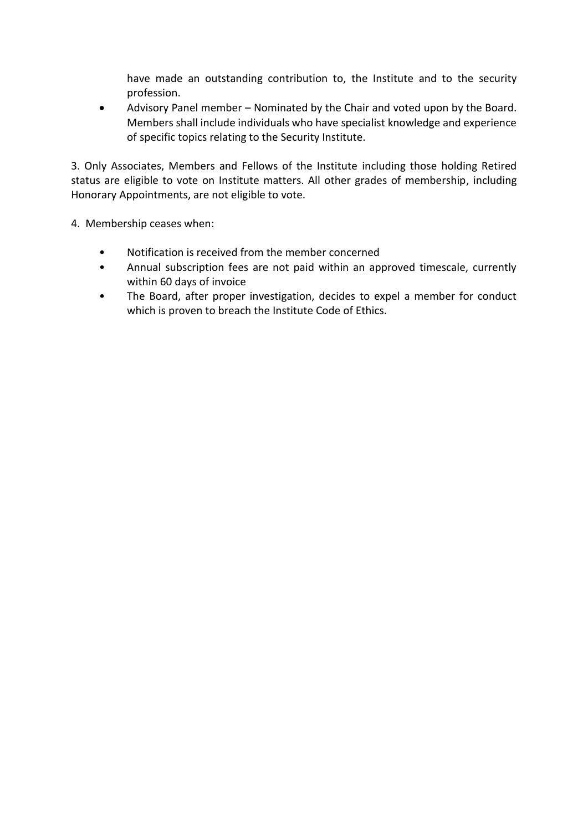have made an outstanding contribution to, the Institute and to the security profession.

• Advisory Panel member – Nominated by the Chair and voted upon by the Board. Members shall include individuals who have specialist knowledge and experience of specific topics relating to the Security Institute.

3. Only Associates, Members and Fellows of the Institute including those holding Retired status are eligible to vote on Institute matters. All other grades of membership, including Honorary Appointments, are not eligible to vote.

4. Membership ceases when:

- Notification is received from the member concerned
- Annual subscription fees are not paid within an approved timescale, currently within 60 days of invoice
- The Board, after proper investigation, decides to expel a member for conduct which is proven to breach the Institute Code of Ethics.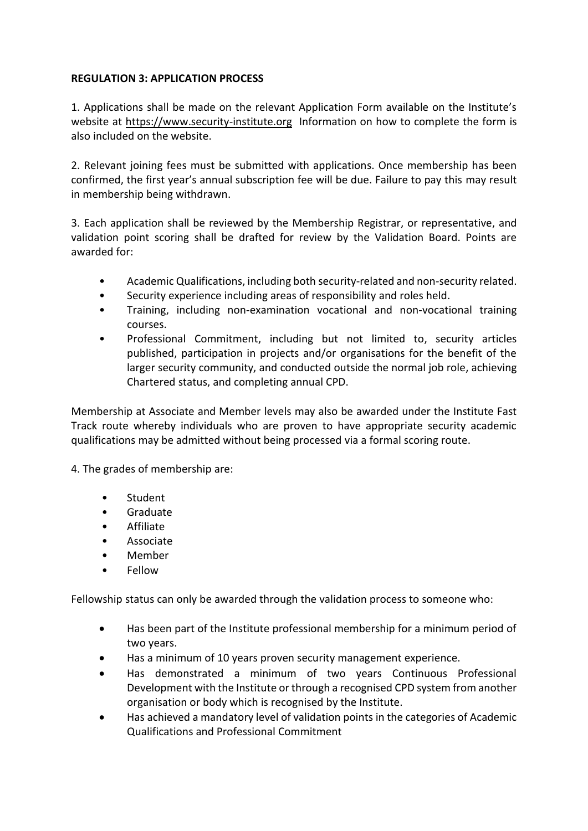### **REGULATION 3: APPLICATION PROCESS**

1. Applications shall be made on the relevant Application Form available on the Institute's website at [https://www.security-institute.org](https://www.security-institute.org/) Information on how to complete the form is also included on the website.

2. Relevant joining fees must be submitted with applications. Once membership has been confirmed, the first year's annual subscription fee will be due. Failure to pay this may result in membership being withdrawn.

3. Each application shall be reviewed by the Membership Registrar, or representative, and validation point scoring shall be drafted for review by the Validation Board. Points are awarded for:

- Academic Qualifications, including both security-related and non-security related.
- Security experience including areas of responsibility and roles held.
- Training, including non-examination vocational and non-vocational training courses.
- Professional Commitment, including but not limited to, security articles published, participation in projects and/or organisations for the benefit of the larger security community, and conducted outside the normal job role, achieving Chartered status, and completing annual CPD.

Membership at Associate and Member levels may also be awarded under the Institute Fast Track route whereby individuals who are proven to have appropriate security academic qualifications may be admitted without being processed via a formal scoring route.

- 4. The grades of membership are:
	- **Student**
	- Graduate
	- Affiliate
	- **Associate**
	- Member
	- Fellow

Fellowship status can only be awarded through the validation process to someone who:

- Has been part of the Institute professional membership for a minimum period of two years.
- Has a minimum of 10 years proven security management experience.
- Has demonstrated a minimum of two years Continuous Professional Development with the Institute or through a recognised CPD system from another organisation or body which is recognised by the Institute.
- Has achieved a mandatory level of validation points in the categories of Academic Qualifications and Professional Commitment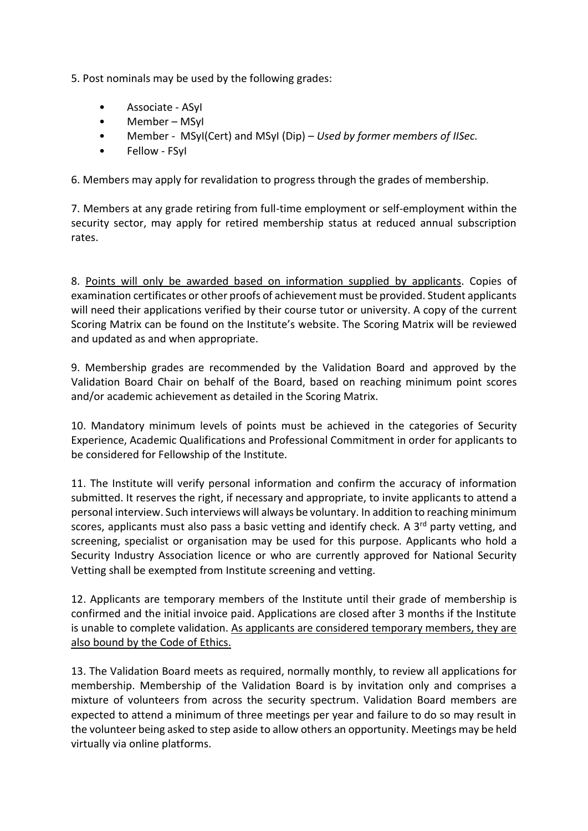5. Post nominals may be used by the following grades:

- Associate ASyI
- Member MSyI
- Member MSyI(Cert) and MSyI (Dip) *Used by former members of IISec.*
- Fellow FSyI

6. Members may apply for revalidation to progress through the grades of membership.

7. Members at any grade retiring from full-time employment or self-employment within the security sector, may apply for retired membership status at reduced annual subscription rates.

8. Points will only be awarded based on information supplied by applicants. Copies of examination certificates or other proofs of achievement must be provided. Student applicants will need their applications verified by their course tutor or university. A copy of the current Scoring Matrix can be found on the Institute's website. The Scoring Matrix will be reviewed and updated as and when appropriate.

9. Membership grades are recommended by the Validation Board and approved by the Validation Board Chair on behalf of the Board, based on reaching minimum point scores and/or academic achievement as detailed in the Scoring Matrix.

10. Mandatory minimum levels of points must be achieved in the categories of Security Experience, Academic Qualifications and Professional Commitment in order for applicants to be considered for Fellowship of the Institute.

11. The Institute will verify personal information and confirm the accuracy of information submitted. It reserves the right, if necessary and appropriate, to invite applicants to attend a personal interview. Such interviews will always be voluntary. In addition to reaching minimum scores, applicants must also pass a basic vetting and identify check. A  $3<sup>rd</sup>$  party vetting, and screening, specialist or organisation may be used for this purpose. Applicants who hold a Security Industry Association licence or who are currently approved for National Security Vetting shall be exempted from Institute screening and vetting.

12. Applicants are temporary members of the Institute until their grade of membership is confirmed and the initial invoice paid. Applications are closed after 3 months if the Institute is unable to complete validation. As applicants are considered temporary members, they are also bound by the Code of Ethics.

13. The Validation Board meets as required, normally monthly, to review all applications for membership. Membership of the Validation Board is by invitation only and comprises a mixture of volunteers from across the security spectrum. Validation Board members are expected to attend a minimum of three meetings per year and failure to do so may result in the volunteer being asked to step aside to allow others an opportunity. Meetings may be held virtually via online platforms.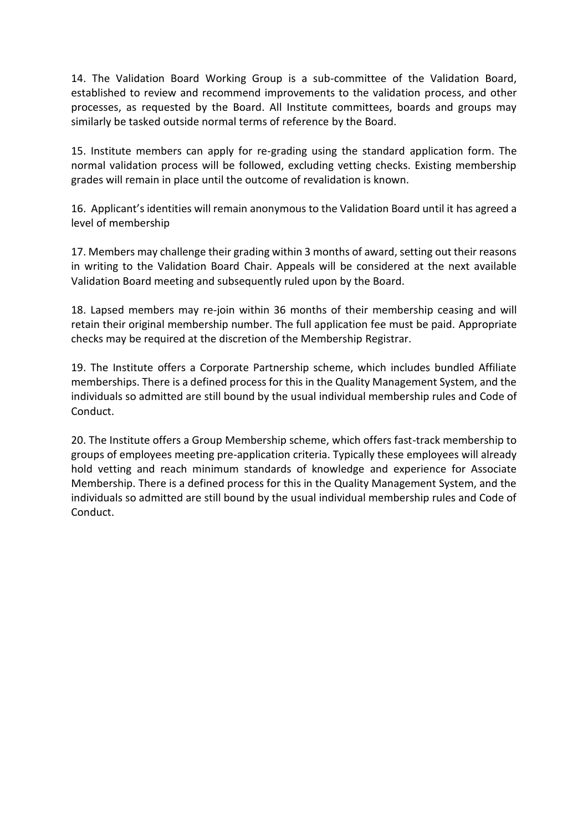14. The Validation Board Working Group is a sub-committee of the Validation Board, established to review and recommend improvements to the validation process, and other processes, as requested by the Board. All Institute committees, boards and groups may similarly be tasked outside normal terms of reference by the Board.

15. Institute members can apply for re-grading using the standard application form. The normal validation process will be followed, excluding vetting checks. Existing membership grades will remain in place until the outcome of revalidation is known.

16. Applicant's identities will remain anonymous to the Validation Board until it has agreed a level of membership

17. Members may challenge their grading within 3 months of award, setting out their reasons in writing to the Validation Board Chair. Appeals will be considered at the next available Validation Board meeting and subsequently ruled upon by the Board.

18. Lapsed members may re-join within 36 months of their membership ceasing and will retain their original membership number. The full application fee must be paid. Appropriate checks may be required at the discretion of the Membership Registrar.

19. The Institute offers a Corporate Partnership scheme, which includes bundled Affiliate memberships. There is a defined process for this in the Quality Management System, and the individuals so admitted are still bound by the usual individual membership rules and Code of Conduct.

20. The Institute offers a Group Membership scheme, which offers fast-track membership to groups of employees meeting pre-application criteria. Typically these employees will already hold vetting and reach minimum standards of knowledge and experience for Associate Membership. There is a defined process for this in the Quality Management System, and the individuals so admitted are still bound by the usual individual membership rules and Code of Conduct.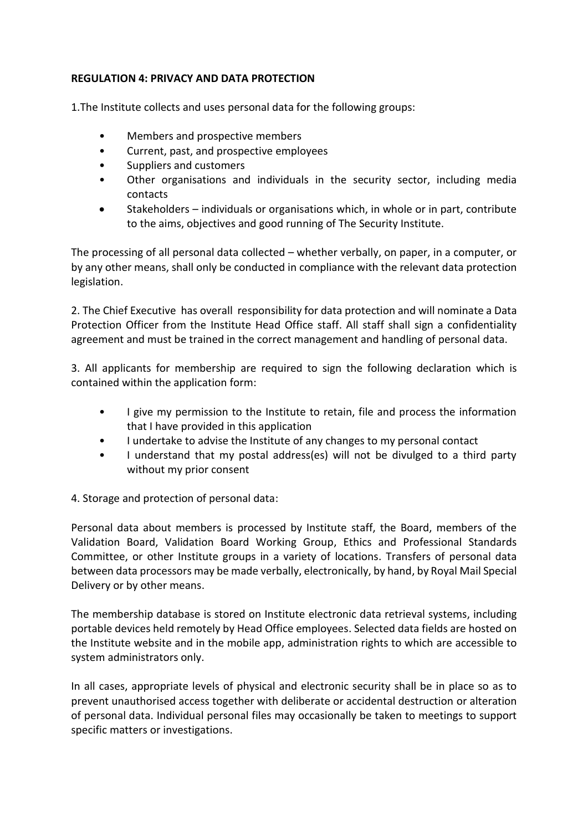## **REGULATION 4: PRIVACY AND DATA PROTECTION**

1.The Institute collects and uses personal data for the following groups:

- Members and prospective members
- Current, past, and prospective employees
- Suppliers and customers
- Other organisations and individuals in the security sector, including media contacts
- Stakeholders individuals or organisations which, in whole or in part, contribute to the aims, objectives and good running of The Security Institute.

The processing of all personal data collected – whether verbally, on paper, in a computer, or by any other means, shall only be conducted in compliance with the relevant data protection legislation.

2. The Chief Executive has overall responsibility for data protection and will nominate a Data Protection Officer from the Institute Head Office staff. All staff shall sign a confidentiality agreement and must be trained in the correct management and handling of personal data.

3. All applicants for membership are required to sign the following declaration which is contained within the application form:

- I give my permission to the Institute to retain, file and process the information that I have provided in this application
- I undertake to advise the Institute of any changes to my personal contact
- I understand that my postal address(es) will not be divulged to a third party without my prior consent

4. Storage and protection of personal data:

Personal data about members is processed by Institute staff, the Board, members of the Validation Board, Validation Board Working Group, Ethics and Professional Standards Committee, or other Institute groups in a variety of locations. Transfers of personal data between data processors may be made verbally, electronically, by hand, by Royal Mail Special Delivery or by other means.

The membership database is stored on Institute electronic data retrieval systems, including portable devices held remotely by Head Office employees. Selected data fields are hosted on the Institute website and in the mobile app, administration rights to which are accessible to system administrators only.

In all cases, appropriate levels of physical and electronic security shall be in place so as to prevent unauthorised access together with deliberate or accidental destruction or alteration of personal data. Individual personal files may occasionally be taken to meetings to support specific matters or investigations.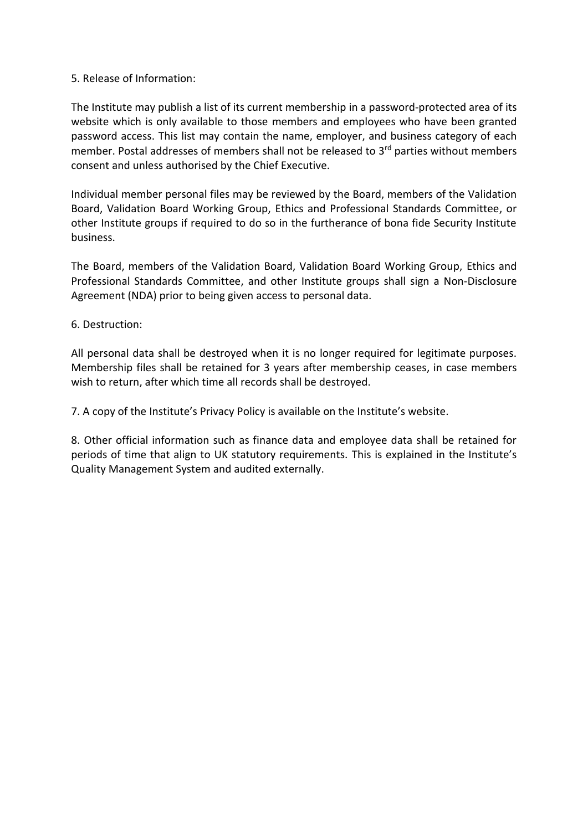#### 5. Release of Information:

The Institute may publish a list of its current membership in a password-protected area of its website which is only available to those members and employees who have been granted password access. This list may contain the name, employer, and business category of each member. Postal addresses of members shall not be released to 3<sup>rd</sup> parties without members consent and unless authorised by the Chief Executive.

Individual member personal files may be reviewed by the Board, members of the Validation Board, Validation Board Working Group, Ethics and Professional Standards Committee, or other Institute groups if required to do so in the furtherance of bona fide Security Institute business.

The Board, members of the Validation Board, Validation Board Working Group, Ethics and Professional Standards Committee, and other Institute groups shall sign a Non-Disclosure Agreement (NDA) prior to being given access to personal data.

#### 6. Destruction:

All personal data shall be destroyed when it is no longer required for legitimate purposes. Membership files shall be retained for 3 years after membership ceases, in case members wish to return, after which time all records shall be destroyed.

7. A copy of the Institute's Privacy Policy is available on the Institute's website.

8. Other official information such as finance data and employee data shall be retained for periods of time that align to UK statutory requirements. This is explained in the Institute's Quality Management System and audited externally.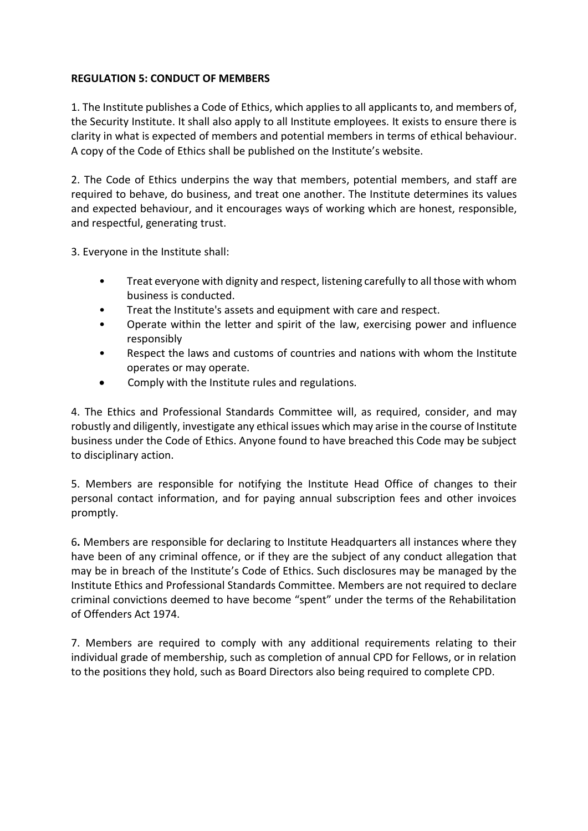### **REGULATION 5: CONDUCT OF MEMBERS**

1. The Institute publishes a Code of Ethics, which applies to all applicants to, and members of, the Security Institute. It shall also apply to all Institute employees. It exists to ensure there is clarity in what is expected of members and potential members in terms of ethical behaviour. A copy of the Code of Ethics shall be published on the Institute's website.

2. The Code of Ethics underpins the way that members, potential members, and staff are required to behave, do business, and treat one another. The Institute determines its values and expected behaviour, and it encourages ways of working which are honest, responsible, and respectful, generating trust.

3. Everyone in the Institute shall:

- Treat everyone with dignity and respect, listening carefully to all those with whom business is conducted.
- Treat the Institute's assets and equipment with care and respect.
- Operate within the letter and spirit of the law, exercising power and influence responsibly
- Respect the laws and customs of countries and nations with whom the Institute operates or may operate.
- Comply with the Institute rules and regulations.

4. The Ethics and Professional Standards Committee will, as required, consider, and may robustly and diligently, investigate any ethical issues which may arise in the course of Institute business under the Code of Ethics. Anyone found to have breached this Code may be subject to disciplinary action.

5. Members are responsible for notifying the Institute Head Office of changes to their personal contact information, and for paying annual subscription fees and other invoices promptly.

6**.** Members are responsible for declaring to Institute Headquarters all instances where they have been of any criminal offence, or if they are the subject of any conduct allegation that may be in breach of the Institute's Code of Ethics. Such disclosures may be managed by the Institute Ethics and Professional Standards Committee. Members are not required to declare criminal convictions deemed to have become "spent" under the terms of the Rehabilitation of Offenders Act 1974.

7. Members are required to comply with any additional requirements relating to their individual grade of membership, such as completion of annual CPD for Fellows, or in relation to the positions they hold, such as Board Directors also being required to complete CPD.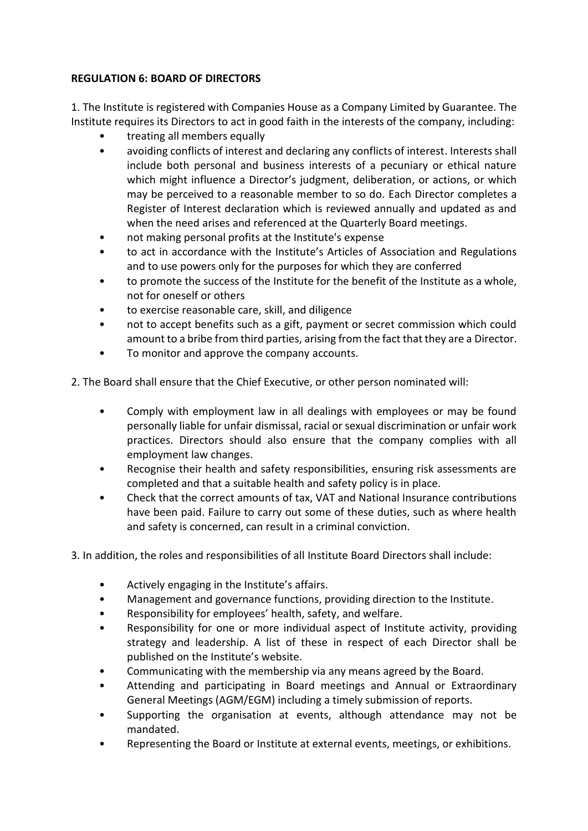# **REGULATION 6: BOARD OF DIRECTORS**

1. The Institute is registered with Companies House as a Company Limited by Guarantee. The Institute requires its Directors to act in good faith in the interests of the company, including:

- treating all members equally
- avoiding conflicts of interest and declaring any conflicts of interest. Interests shall include both personal and business interests of a pecuniary or ethical nature which might influence a Director's judgment, deliberation, or actions, or which may be perceived to a reasonable member to so do. Each Director completes a Register of Interest declaration which is reviewed annually and updated as and when the need arises and referenced at the Quarterly Board meetings.
- not making personal profits at the Institute's expense
- to act in accordance with the Institute's Articles of Association and Regulations and to use powers only for the purposes for which they are conferred
- to promote the success of the Institute for the benefit of the Institute as a whole, not for oneself or others
- to exercise reasonable care, skill, and diligence
- not to accept benefits such as a gift, payment or secret commission which could amount to a bribe from third parties, arising from the fact that they are a Director.
- To monitor and approve the company accounts.

2. The Board shall ensure that the Chief Executive, or other person nominated will:

- Comply with employment law in all dealings with employees or may be found personally liable for unfair dismissal, racial or sexual discrimination or unfair work practices. Directors should also ensure that the company complies with all employment law changes.
- Recognise their health and safety responsibilities, ensuring risk assessments are completed and that a suitable health and safety policy is in place.
- Check that the correct amounts of tax, VAT and National Insurance contributions have been paid. Failure to carry out some of these duties, such as where health and safety is concerned, can result in a criminal conviction.
- 3. In addition, the roles and responsibilities of all Institute Board Directors shall include:
	- Actively engaging in the Institute's affairs.
	- Management and governance functions, providing direction to the Institute.
	- Responsibility for employees' health, safety, and welfare.
	- Responsibility for one or more individual aspect of Institute activity, providing strategy and leadership. A list of these in respect of each Director shall be published on the Institute's website.
	- Communicating with the membership via any means agreed by the Board.
	- Attending and participating in Board meetings and Annual or Extraordinary General Meetings (AGM/EGM) including a timely submission of reports.
	- Supporting the organisation at events, although attendance may not be mandated.
	- Representing the Board or Institute at external events, meetings, or exhibitions.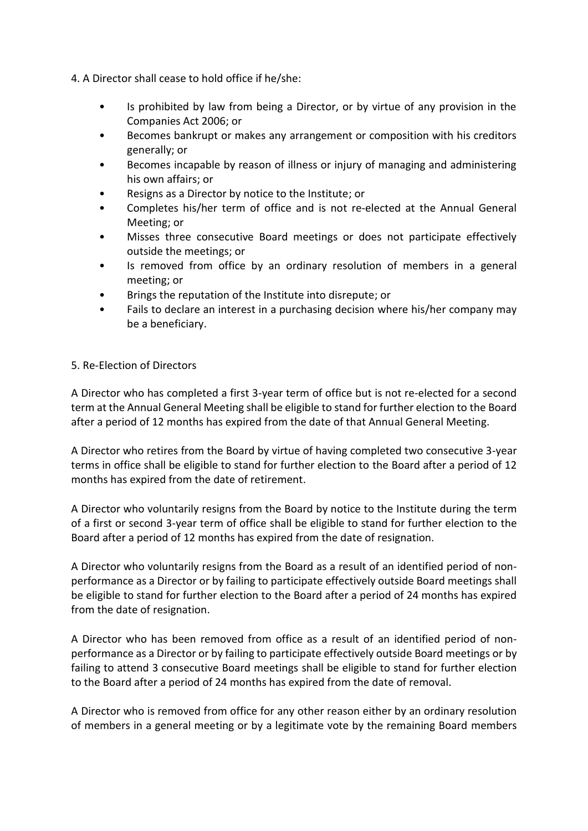4. A Director shall cease to hold office if he/she:

- Is prohibited by law from being a Director, or by virtue of any provision in the Companies Act 2006; or
- Becomes bankrupt or makes any arrangement or composition with his creditors generally; or
- Becomes incapable by reason of illness or injury of managing and administering his own affairs; or
- Resigns as a Director by notice to the Institute; or
- Completes his/her term of office and is not re-elected at the Annual General Meeting; or
- Misses three consecutive Board meetings or does not participate effectively outside the meetings; or
- Is removed from office by an ordinary resolution of members in a general meeting; or
- Brings the reputation of the Institute into disrepute; or
- Fails to declare an interest in a purchasing decision where his/her company may be a beneficiary.

#### 5. Re-Election of Directors

A Director who has completed a first 3-year term of office but is not re-elected for a second term at the Annual General Meeting shall be eligible to stand for further election to the Board after a period of 12 months has expired from the date of that Annual General Meeting.

A Director who retires from the Board by virtue of having completed two consecutive 3-year terms in office shall be eligible to stand for further election to the Board after a period of 12 months has expired from the date of retirement.

A Director who voluntarily resigns from the Board by notice to the Institute during the term of a first or second 3-year term of office shall be eligible to stand for further election to the Board after a period of 12 months has expired from the date of resignation.

A Director who voluntarily resigns from the Board as a result of an identified period of nonperformance as a Director or by failing to participate effectively outside Board meetings shall be eligible to stand for further election to the Board after a period of 24 months has expired from the date of resignation.

A Director who has been removed from office as a result of an identified period of nonperformance as a Director or by failing to participate effectively outside Board meetings or by failing to attend 3 consecutive Board meetings shall be eligible to stand for further election to the Board after a period of 24 months has expired from the date of removal.

A Director who is removed from office for any other reason either by an ordinary resolution of members in a general meeting or by a legitimate vote by the remaining Board members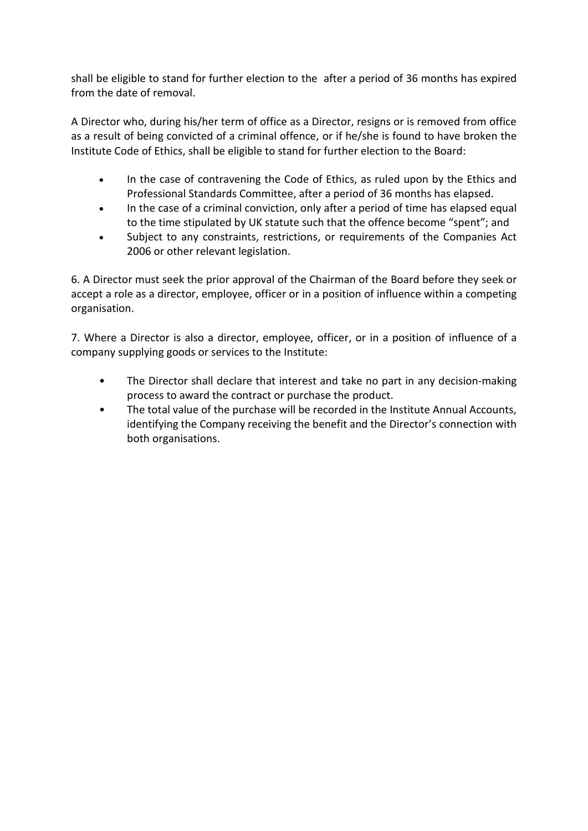shall be eligible to stand for further election to the after a period of 36 months has expired from the date of removal.

A Director who, during his/her term of office as a Director, resigns or is removed from office as a result of being convicted of a criminal offence, or if he/she is found to have broken the Institute Code of Ethics, shall be eligible to stand for further election to the Board:

- In the case of contravening the Code of Ethics, as ruled upon by the Ethics and Professional Standards Committee, after a period of 36 months has elapsed.
- In the case of a criminal conviction, only after a period of time has elapsed equal to the time stipulated by UK statute such that the offence become "spent"; and
- Subject to any constraints, restrictions, or requirements of the Companies Act 2006 or other relevant legislation.

6. A Director must seek the prior approval of the Chairman of the Board before they seek or accept a role as a director, employee, officer or in a position of influence within a competing organisation.

7. Where a Director is also a director, employee, officer, or in a position of influence of a company supplying goods or services to the Institute:

- The Director shall declare that interest and take no part in any decision-making process to award the contract or purchase the product.
- The total value of the purchase will be recorded in the Institute Annual Accounts, identifying the Company receiving the benefit and the Director's connection with both organisations.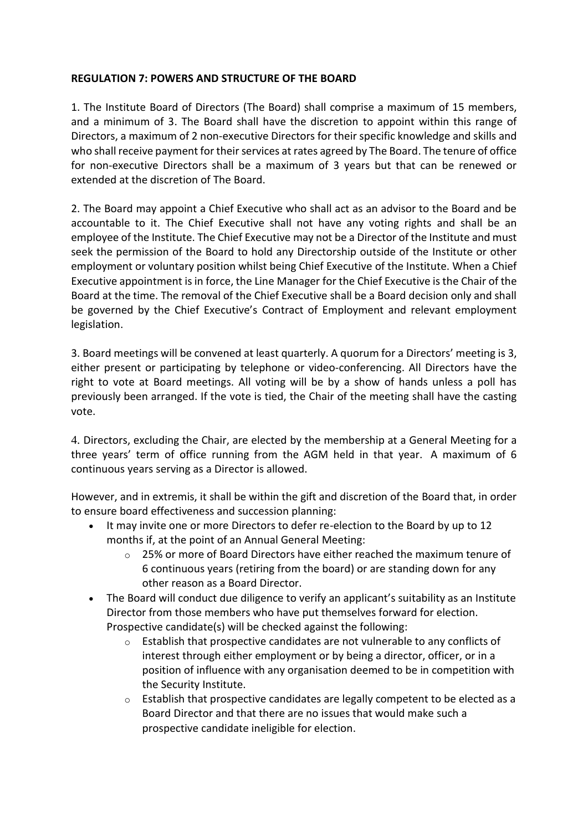### **REGULATION 7: POWERS AND STRUCTURE OF THE BOARD**

1. The Institute Board of Directors (The Board) shall comprise a maximum of 15 members, and a minimum of 3. The Board shall have the discretion to appoint within this range of Directors, a maximum of 2 non-executive Directors for their specific knowledge and skills and who shall receive payment for their services at rates agreed by The Board. The tenure of office for non-executive Directors shall be a maximum of 3 years but that can be renewed or extended at the discretion of The Board.

2. The Board may appoint a Chief Executive who shall act as an advisor to the Board and be accountable to it. The Chief Executive shall not have any voting rights and shall be an employee of the Institute. The Chief Executive may not be a Director of the Institute and must seek the permission of the Board to hold any Directorship outside of the Institute or other employment or voluntary position whilst being Chief Executive of the Institute. When a Chief Executive appointment is in force, the Line Manager for the Chief Executive is the Chair of the Board at the time. The removal of the Chief Executive shall be a Board decision only and shall be governed by the Chief Executive's Contract of Employment and relevant employment legislation.

3. Board meetings will be convened at least quarterly. A quorum for a Directors' meeting is 3, either present or participating by telephone or video-conferencing. All Directors have the right to vote at Board meetings. All voting will be by a show of hands unless a poll has previously been arranged. If the vote is tied, the Chair of the meeting shall have the casting vote.

4. Directors, excluding the Chair, are elected by the membership at a General Meeting for a three years' term of office running from the AGM held in that year. A maximum of 6 continuous years serving as a Director is allowed.

However, and in extremis, it shall be within the gift and discretion of the Board that, in order to ensure board effectiveness and succession planning:

- It may invite one or more Directors to defer re-election to the Board by up to 12 months if, at the point of an Annual General Meeting:
	- $\circ$  25% or more of Board Directors have either reached the maximum tenure of 6 continuous years (retiring from the board) or are standing down for any other reason as a Board Director.
- The Board will conduct due diligence to verify an applicant's suitability as an Institute Director from those members who have put themselves forward for election. Prospective candidate(s) will be checked against the following:
	- o Establish that prospective candidates are not vulnerable to any conflicts of interest through either employment or by being a director, officer, or in a position of influence with any organisation deemed to be in competition with the Security Institute.
	- o Establish that prospective candidates are legally competent to be elected as a Board Director and that there are no issues that would make such a prospective candidate ineligible for election.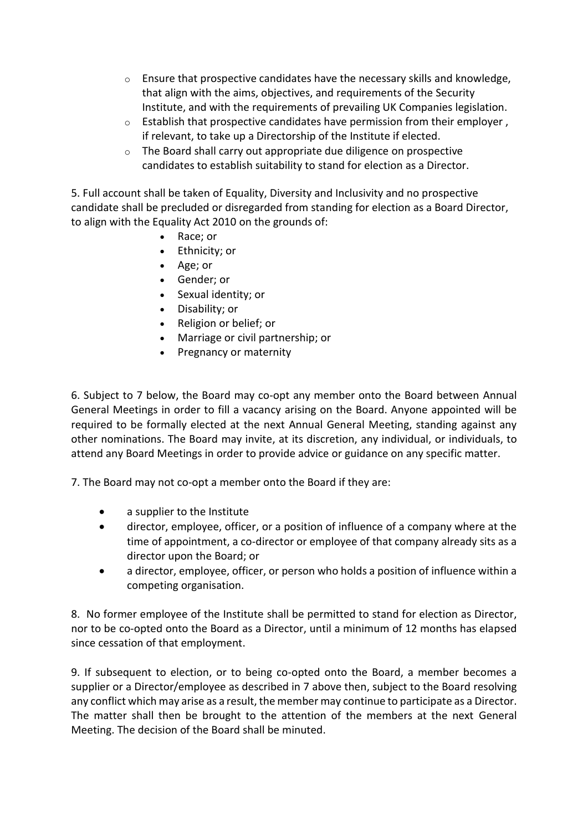- $\circ$  Ensure that prospective candidates have the necessary skills and knowledge, that align with the aims, objectives, and requirements of the Security Institute, and with the requirements of prevailing UK Companies legislation.
- o Establish that prospective candidates have permission from their employer , if relevant, to take up a Directorship of the Institute if elected.
- o The Board shall carry out appropriate due diligence on prospective candidates to establish suitability to stand for election as a Director.

5. Full account shall be taken of Equality, Diversity and Inclusivity and no prospective candidate shall be precluded or disregarded from standing for election as a Board Director, to align with the Equality Act 2010 on the grounds of:

- Race; or
- Ethnicity; or
- Age; or
- Gender; or
- Sexual identity; or
- Disability; or
- Religion or belief; or
- Marriage or civil partnership; or
- Pregnancy or maternity

6. Subject to 7 below, the Board may co-opt any member onto the Board between Annual General Meetings in order to fill a vacancy arising on the Board. Anyone appointed will be required to be formally elected at the next Annual General Meeting, standing against any other nominations. The Board may invite, at its discretion, any individual, or individuals, to attend any Board Meetings in order to provide advice or guidance on any specific matter.

7. The Board may not co-opt a member onto the Board if they are:

- a supplier to the Institute
- director, employee, officer, or a position of influence of a company where at the time of appointment, a co-director or employee of that company already sits as a director upon the Board; or
- a director, employee, officer, or person who holds a position of influence within a competing organisation.

8. No former employee of the Institute shall be permitted to stand for election as Director, nor to be co-opted onto the Board as a Director, until a minimum of 12 months has elapsed since cessation of that employment.

9. If subsequent to election, or to being co-opted onto the Board, a member becomes a supplier or a Director/employee as described in 7 above then, subject to the Board resolving any conflict which may arise as a result, the member may continue to participate as a Director. The matter shall then be brought to the attention of the members at the next General Meeting. The decision of the Board shall be minuted.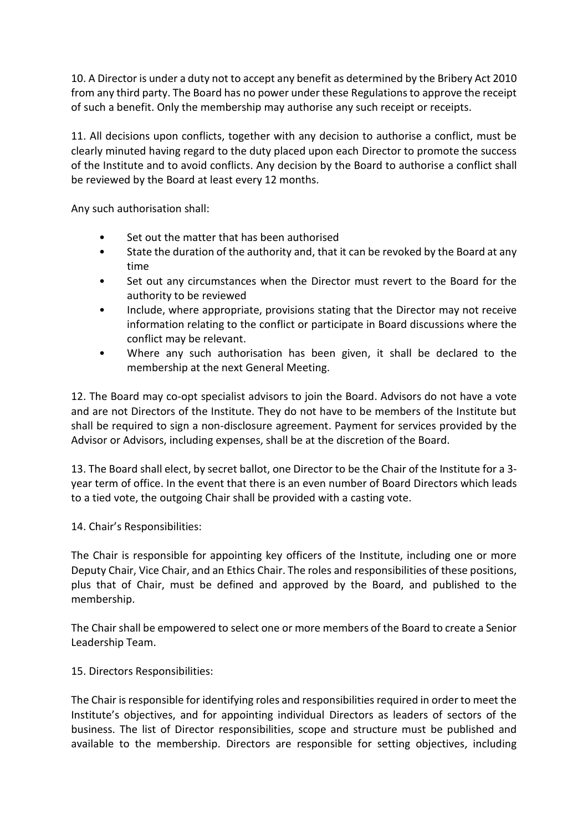10. A Director is under a duty not to accept any benefit as determined by the Bribery Act 2010 from any third party. The Board has no power under these Regulations to approve the receipt of such a benefit. Only the membership may authorise any such receipt or receipts.

11. All decisions upon conflicts, together with any decision to authorise a conflict, must be clearly minuted having regard to the duty placed upon each Director to promote the success of the Institute and to avoid conflicts. Any decision by the Board to authorise a conflict shall be reviewed by the Board at least every 12 months.

Any such authorisation shall:

- Set out the matter that has been authorised
- State the duration of the authority and, that it can be revoked by the Board at any time
- Set out any circumstances when the Director must revert to the Board for the authority to be reviewed
- Include, where appropriate, provisions stating that the Director may not receive information relating to the conflict or participate in Board discussions where the conflict may be relevant.
- Where any such authorisation has been given, it shall be declared to the membership at the next General Meeting.

12. The Board may co-opt specialist advisors to join the Board. Advisors do not have a vote and are not Directors of the Institute. They do not have to be members of the Institute but shall be required to sign a non-disclosure agreement. Payment for services provided by the Advisor or Advisors, including expenses, shall be at the discretion of the Board.

13. The Board shall elect, by secret ballot, one Director to be the Chair of the Institute for a 3 year term of office. In the event that there is an even number of Board Directors which leads to a tied vote, the outgoing Chair shall be provided with a casting vote.

14. Chair's Responsibilities:

The Chair is responsible for appointing key officers of the Institute, including one or more Deputy Chair, Vice Chair, and an Ethics Chair. The roles and responsibilities of these positions, plus that of Chair, must be defined and approved by the Board, and published to the membership.

The Chair shall be empowered to select one or more members of the Board to create a Senior Leadership Team.

15. Directors Responsibilities:

The Chair is responsible for identifying roles and responsibilities required in order to meet the Institute's objectives, and for appointing individual Directors as leaders of sectors of the business. The list of Director responsibilities, scope and structure must be published and available to the membership. Directors are responsible for setting objectives, including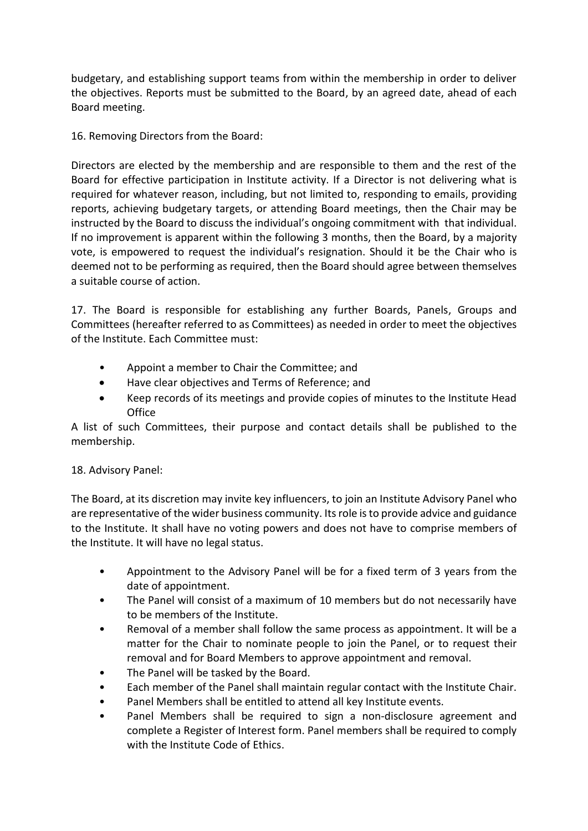budgetary, and establishing support teams from within the membership in order to deliver the objectives. Reports must be submitted to the Board, by an agreed date, ahead of each Board meeting.

16. Removing Directors from the Board:

Directors are elected by the membership and are responsible to them and the rest of the Board for effective participation in Institute activity. If a Director is not delivering what is required for whatever reason, including, but not limited to, responding to emails, providing reports, achieving budgetary targets, or attending Board meetings, then the Chair may be instructed by the Board to discuss the individual's ongoing commitment with that individual. If no improvement is apparent within the following 3 months, then the Board, by a majority vote, is empowered to request the individual's resignation. Should it be the Chair who is deemed not to be performing as required, then the Board should agree between themselves a suitable course of action.

17. The Board is responsible for establishing any further Boards, Panels, Groups and Committees (hereafter referred to as Committees) as needed in order to meet the objectives of the Institute. Each Committee must:

- Appoint a member to Chair the Committee; and
- Have clear objectives and Terms of Reference; and
- Keep records of its meetings and provide copies of minutes to the Institute Head **Office**

A list of such Committees, their purpose and contact details shall be published to the membership.

# 18. Advisory Panel:

The Board, at its discretion may invite key influencers, to join an Institute Advisory Panel who are representative of the wider business community. Its role is to provide advice and guidance to the Institute. It shall have no voting powers and does not have to comprise members of the Institute. It will have no legal status.

- Appointment to the Advisory Panel will be for a fixed term of 3 years from the date of appointment.
- The Panel will consist of a maximum of 10 members but do not necessarily have to be members of the Institute.
- Removal of a member shall follow the same process as appointment. It will be a matter for the Chair to nominate people to join the Panel, or to request their removal and for Board Members to approve appointment and removal.
- The Panel will be tasked by the Board.
- Each member of the Panel shall maintain regular contact with the Institute Chair.
- Panel Members shall be entitled to attend all key Institute events.
- Panel Members shall be required to sign a non-disclosure agreement and complete a Register of Interest form. Panel members shall be required to comply with the Institute Code of Ethics.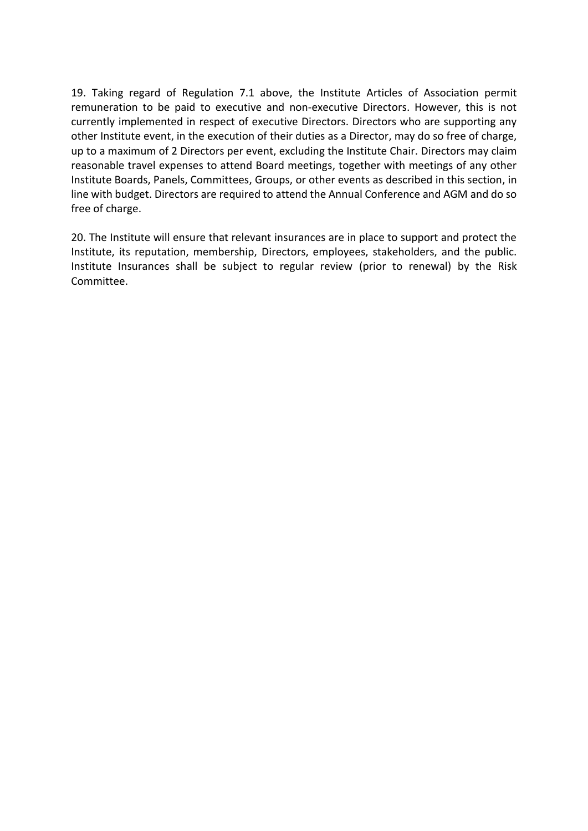19. Taking regard of Regulation 7.1 above, the Institute Articles of Association permit remuneration to be paid to executive and non-executive Directors. However, this is not currently implemented in respect of executive Directors. Directors who are supporting any other Institute event, in the execution of their duties as a Director, may do so free of charge, up to a maximum of 2 Directors per event, excluding the Institute Chair. Directors may claim reasonable travel expenses to attend Board meetings, together with meetings of any other Institute Boards, Panels, Committees, Groups, or other events as described in this section, in line with budget. Directors are required to attend the Annual Conference and AGM and do so free of charge.

20. The Institute will ensure that relevant insurances are in place to support and protect the Institute, its reputation, membership, Directors, employees, stakeholders, and the public. Institute Insurances shall be subject to regular review (prior to renewal) by the Risk Committee.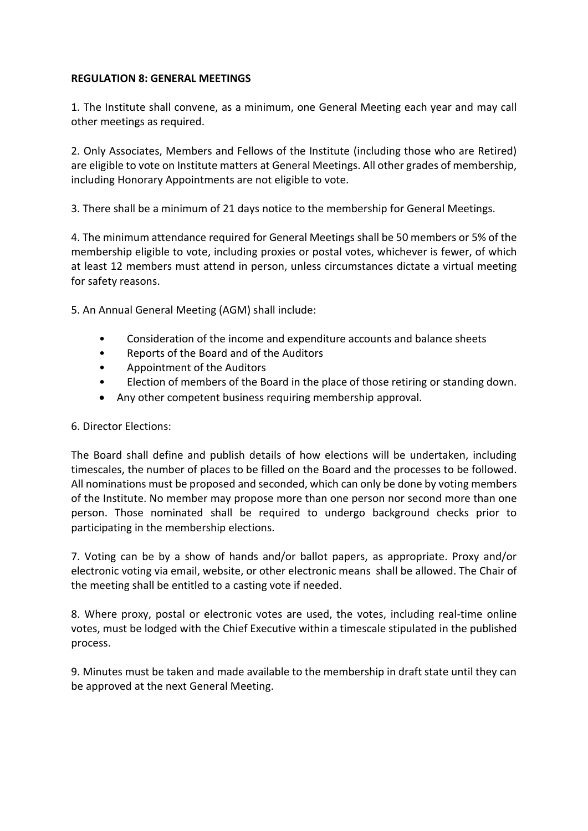#### **REGULATION 8: GENERAL MEETINGS**

1. The Institute shall convene, as a minimum, one General Meeting each year and may call other meetings as required.

2. Only Associates, Members and Fellows of the Institute (including those who are Retired) are eligible to vote on Institute matters at General Meetings. All other grades of membership, including Honorary Appointments are not eligible to vote.

3. There shall be a minimum of 21 days notice to the membership for General Meetings.

4. The minimum attendance required for General Meetings shall be 50 members or 5% of the membership eligible to vote, including proxies or postal votes, whichever is fewer, of which at least 12 members must attend in person, unless circumstances dictate a virtual meeting for safety reasons.

5. An Annual General Meeting (AGM) shall include:

- Consideration of the income and expenditure accounts and balance sheets
- Reports of the Board and of the Auditors
- Appointment of the Auditors
- Election of members of the Board in the place of those retiring or standing down.
- Any other competent business requiring membership approval.

### 6. Director Elections:

The Board shall define and publish details of how elections will be undertaken, including timescales, the number of places to be filled on the Board and the processes to be followed. All nominations must be proposed and seconded, which can only be done by voting members of the Institute. No member may propose more than one person nor second more than one person. Those nominated shall be required to undergo background checks prior to participating in the membership elections.

7. Voting can be by a show of hands and/or ballot papers, as appropriate. Proxy and/or electronic voting via email, website, or other electronic means shall be allowed. The Chair of the meeting shall be entitled to a casting vote if needed.

8. Where proxy, postal or electronic votes are used, the votes, including real-time online votes, must be lodged with the Chief Executive within a timescale stipulated in the published process.

9. Minutes must be taken and made available to the membership in draft state until they can be approved at the next General Meeting.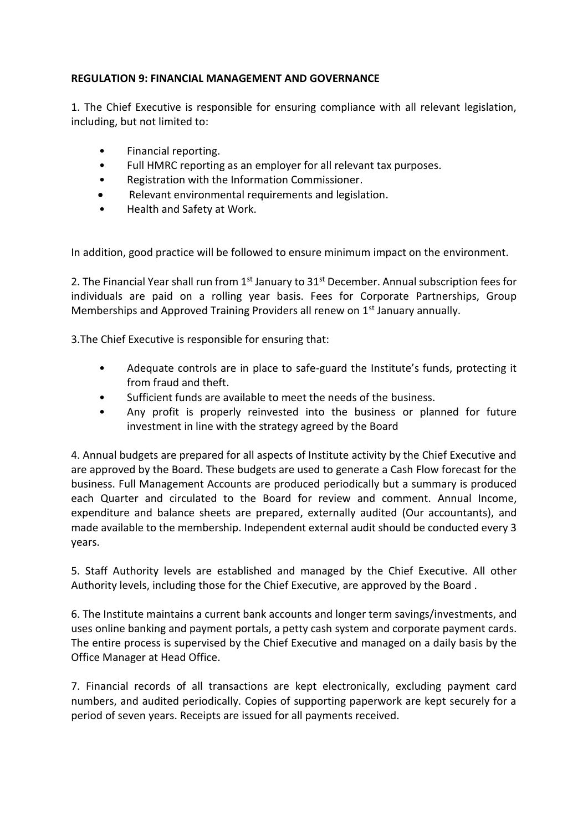# **REGULATION 9: FINANCIAL MANAGEMENT AND GOVERNANCE**

1. The Chief Executive is responsible for ensuring compliance with all relevant legislation, including, but not limited to:

- Financial reporting.
- Full HMRC reporting as an employer for all relevant tax purposes.
- Registration with the Information Commissioner.
- Relevant environmental requirements and legislation.
- Health and Safety at Work.

In addition, good practice will be followed to ensure minimum impact on the environment.

2. The Financial Year shall run from 1<sup>st</sup> January to 31<sup>st</sup> December. Annual subscription fees for individuals are paid on a rolling year basis. Fees for Corporate Partnerships, Group Memberships and Approved Training Providers all renew on 1<sup>st</sup> January annually.

3.The Chief Executive is responsible for ensuring that:

- Adequate controls are in place to safe-guard the Institute's funds, protecting it from fraud and theft.
- Sufficient funds are available to meet the needs of the business.
- Any profit is properly reinvested into the business or planned for future investment in line with the strategy agreed by the Board

4. Annual budgets are prepared for all aspects of Institute activity by the Chief Executive and are approved by the Board. These budgets are used to generate a Cash Flow forecast for the business. Full Management Accounts are produced periodically but a summary is produced each Quarter and circulated to the Board for review and comment. Annual Income, expenditure and balance sheets are prepared, externally audited (Our accountants), and made available to the membership. Independent external audit should be conducted every 3 years.

5. Staff Authority levels are established and managed by the Chief Executive. All other Authority levels, including those for the Chief Executive, are approved by the Board .

6. The Institute maintains a current bank accounts and longer term savings/investments, and uses online banking and payment portals, a petty cash system and corporate payment cards. The entire process is supervised by the Chief Executive and managed on a daily basis by the Office Manager at Head Office.

7. Financial records of all transactions are kept electronically, excluding payment card numbers, and audited periodically. Copies of supporting paperwork are kept securely for a period of seven years. Receipts are issued for all payments received.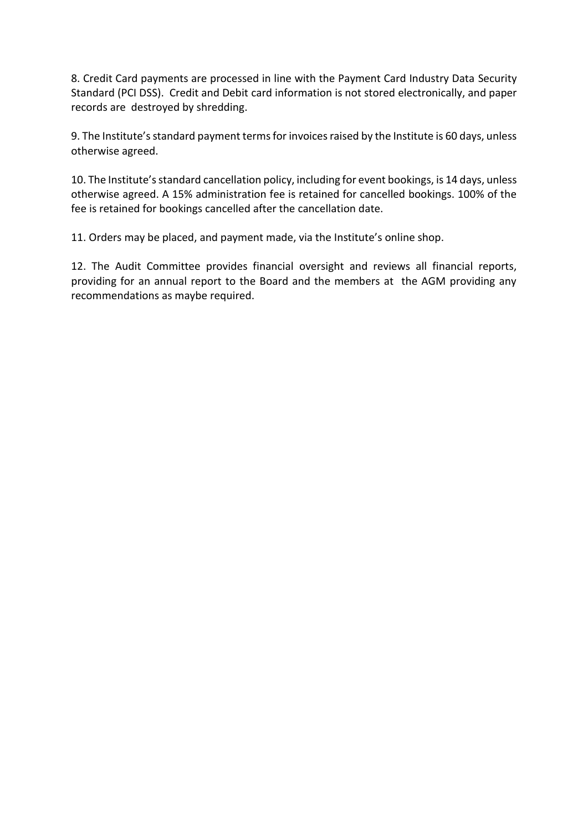8. Credit Card payments are processed in line with the Payment Card Industry Data Security Standard (PCI DSS). Credit and Debit card information is not stored electronically, and paper records are destroyed by shredding.

9. The Institute's standard payment terms for invoices raised by the Institute is 60 days, unless otherwise agreed.

10. The Institute's standard cancellation policy, including for event bookings, is 14 days, unless otherwise agreed. A 15% administration fee is retained for cancelled bookings. 100% of the fee is retained for bookings cancelled after the cancellation date.

11. Orders may be placed, and payment made, via the Institute's online shop.

12. The Audit Committee provides financial oversight and reviews all financial reports, providing for an annual report to the Board and the members at the AGM providing any recommendations as maybe required.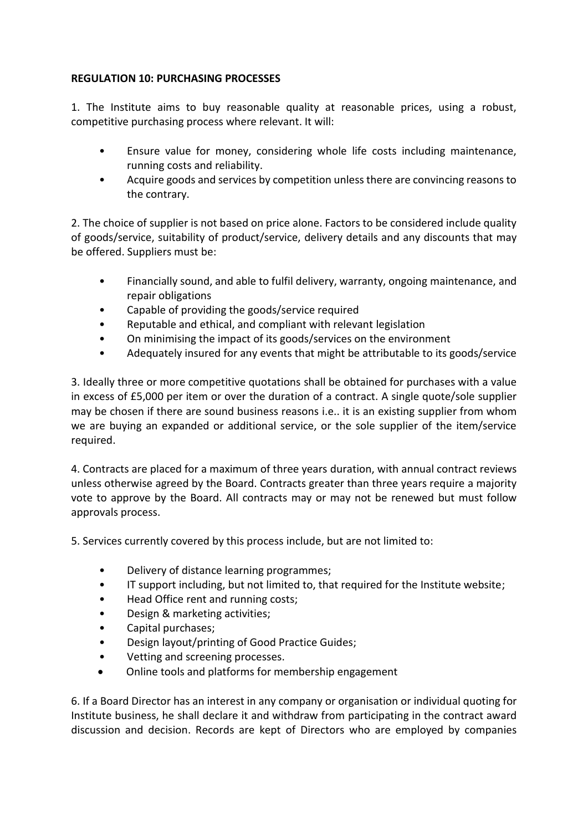# **REGULATION 10: PURCHASING PROCESSES**

1. The Institute aims to buy reasonable quality at reasonable prices, using a robust, competitive purchasing process where relevant. It will:

- Ensure value for money, considering whole life costs including maintenance, running costs and reliability.
- Acquire goods and services by competition unless there are convincing reasons to the contrary.

2. The choice of supplier is not based on price alone. Factors to be considered include quality of goods/service, suitability of product/service, delivery details and any discounts that may be offered. Suppliers must be:

- Financially sound, and able to fulfil delivery, warranty, ongoing maintenance, and repair obligations
- Capable of providing the goods/service required
- Reputable and ethical, and compliant with relevant legislation
- On minimising the impact of its goods/services on the environment
- Adequately insured for any events that might be attributable to its goods/service

3. Ideally three or more competitive quotations shall be obtained for purchases with a value in excess of £5,000 per item or over the duration of a contract. A single quote/sole supplier may be chosen if there are sound business reasons i.e.. it is an existing supplier from whom we are buying an expanded or additional service, or the sole supplier of the item/service required.

4. Contracts are placed for a maximum of three years duration, with annual contract reviews unless otherwise agreed by the Board. Contracts greater than three years require a majority vote to approve by the Board. All contracts may or may not be renewed but must follow approvals process.

5. Services currently covered by this process include, but are not limited to:

- Delivery of distance learning programmes;
- IT support including, but not limited to, that required for the Institute website;
- Head Office rent and running costs;
- Design & marketing activities;
- Capital purchases;
- Design layout/printing of Good Practice Guides;
- Vetting and screening processes.
- Online tools and platforms for membership engagement

6. If a Board Director has an interest in any company or organisation or individual quoting for Institute business, he shall declare it and withdraw from participating in the contract award discussion and decision. Records are kept of Directors who are employed by companies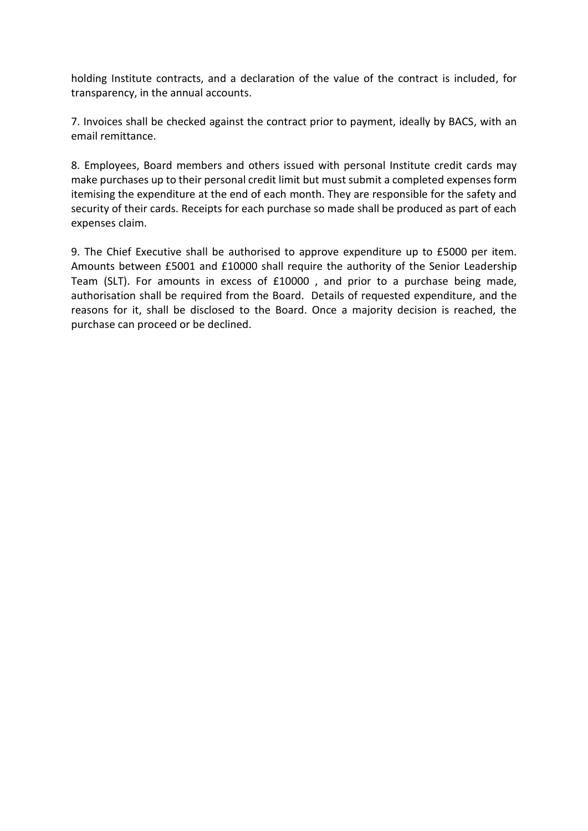holding Institute contracts, and a declaration of the value of the contract is included, for transparency, in the annual accounts.

7. Invoices shall be checked against the contract prior to payment, ideally by BACS, with an email remittance.

8. Employees, Board members and others issued with personal Institute credit cards may make purchases up to their personal credit limit but must submit a completed expenses form itemising the expenditure at the end of each month. They are responsible for the safety and security of their cards. Receipts for each purchase so made shall be produced as part of each expenses claim.

9. The Chief Executive shall be authorised to approve expenditure up to £5000 per item. Amounts between £5001 and £10000 shall require the authority of the Senior Leadership Team (SLT). For amounts in excess of £10000 , and prior to a purchase being made, authorisation shall be required from the Board. Details of requested expenditure, and the reasons for it, shall be disclosed to the Board. Once a majority decision is reached, the purchase can proceed or be declined.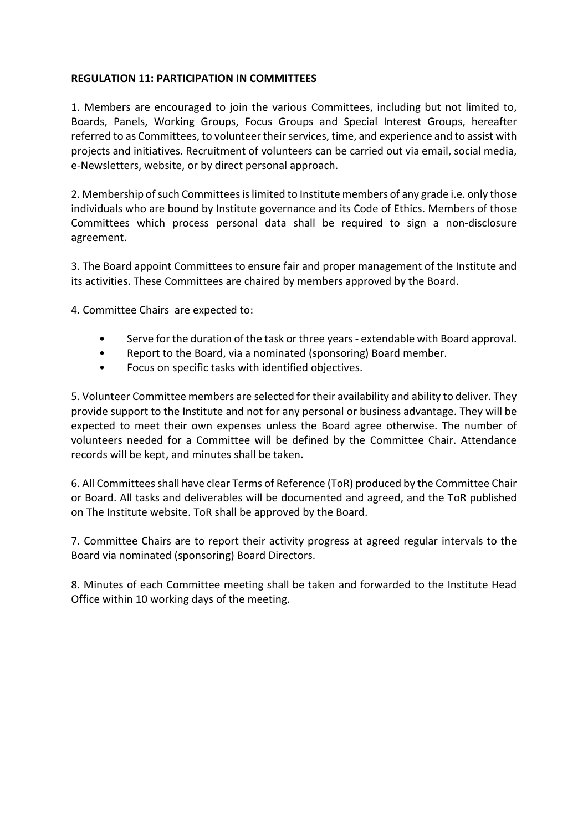### **REGULATION 11: PARTICIPATION IN COMMITTEES**

1. Members are encouraged to join the various Committees, including but not limited to, Boards, Panels, Working Groups, Focus Groups and Special Interest Groups, hereafter referred to as Committees, to volunteer their services, time, and experience and to assist with projects and initiatives. Recruitment of volunteers can be carried out via email, social media, e-Newsletters, website, or by direct personal approach.

2. Membership of such Committees is limited to Institute members of any grade i.e. only those individuals who are bound by Institute governance and its Code of Ethics. Members of those Committees which process personal data shall be required to sign a non-disclosure agreement.

3. The Board appoint Committees to ensure fair and proper management of the Institute and its activities. These Committees are chaired by members approved by the Board.

4. Committee Chairs are expected to:

- Serve for the duration of the task or three years extendable with Board approval.
- Report to the Board, via a nominated (sponsoring) Board member.
- Focus on specific tasks with identified objectives.

5. Volunteer Committee members are selected for their availability and ability to deliver. They provide support to the Institute and not for any personal or business advantage. They will be expected to meet their own expenses unless the Board agree otherwise. The number of volunteers needed for a Committee will be defined by the Committee Chair. Attendance records will be kept, and minutes shall be taken.

6. All Committees shall have clear Terms of Reference (ToR) produced by the Committee Chair or Board. All tasks and deliverables will be documented and agreed, and the ToR published on The Institute website. ToR shall be approved by the Board.

7. Committee Chairs are to report their activity progress at agreed regular intervals to the Board via nominated (sponsoring) Board Directors.

8. Minutes of each Committee meeting shall be taken and forwarded to the Institute Head Office within 10 working days of the meeting.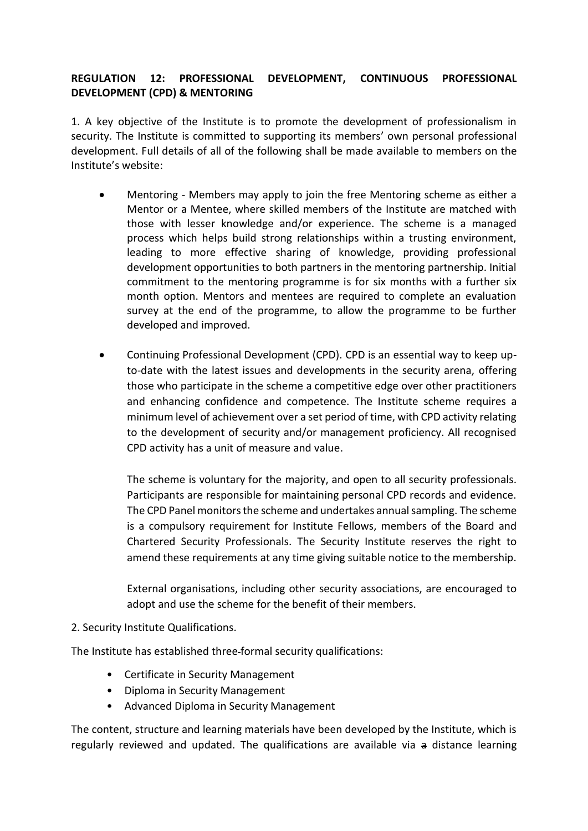# **REGULATION 12: PROFESSIONAL DEVELOPMENT, CONTINUOUS PROFESSIONAL DEVELOPMENT (CPD) & MENTORING**

1. A key objective of the Institute is to promote the development of professionalism in security. The Institute is committed to supporting its members' own personal professional development. Full details of all of the following shall be made available to members on the Institute's website:

- Mentoring Members may apply to join the free Mentoring scheme as either a Mentor or a Mentee, where skilled members of the Institute are matched with those with lesser knowledge and/or experience. The scheme is a managed process which helps build strong relationships within a trusting environment, leading to more effective sharing of knowledge, providing professional development opportunities to both partners in the mentoring partnership. Initial commitment to the mentoring programme is for six months with a further six month option. Mentors and mentees are required to complete an evaluation survey at the end of the programme, to allow the programme to be further developed and improved.
- Continuing Professional Development (CPD). CPD is an essential way to keep upto-date with the latest issues and developments in the security arena, offering those who participate in the scheme a competitive edge over other practitioners and enhancing confidence and competence. The Institute scheme requires a minimum level of achievement over a set period of time, with CPD activity relating to the development of security and/or management proficiency. All recognised CPD activity has a unit of measure and value.

The scheme is voluntary for the majority, and open to all security professionals. Participants are responsible for maintaining personal CPD records and evidence. The CPD Panel monitors the scheme and undertakes annual sampling. The scheme is a compulsory requirement for Institute Fellows, members of the Board and Chartered Security Professionals. The Security Institute reserves the right to amend these requirements at any time giving suitable notice to the membership.

External organisations, including other security associations, are encouraged to adopt and use the scheme for the benefit of their members.

#### 2. Security Institute Qualifications.

The Institute has established three formal security qualifications:

- Certificate in Security Management
- Diploma in Security Management
- Advanced Diploma in Security Management

The content, structure and learning materials have been developed by the Institute, which is regularly reviewed and updated. The qualifications are available via a distance learning